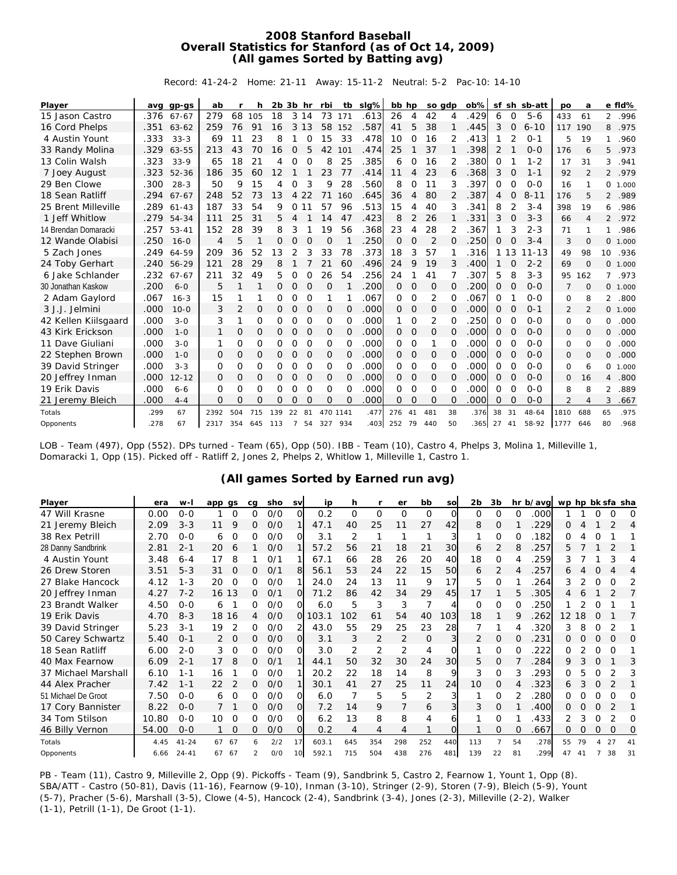## **2008 Stanford Baseball Overall Statistics for Stanford (as of Oct 14, 2009) (All games Sorted by Batting avg)**

Record: 41-24-2 Home: 21-11 Away: 15-11-2 Neutral: 5-2 Pac-10: 14-10

| Player               |      | avg gp-gs | ab             | r              | h        | $2b$ $3b$ hr |              |          | rbi      | tb       | slg% | bb hp    |                | so gdp         |          | ob%  |          |             | sf sh sb-att | po             | a        |                | e fld%  |
|----------------------|------|-----------|----------------|----------------|----------|--------------|--------------|----------|----------|----------|------|----------|----------------|----------------|----------|------|----------|-------------|--------------|----------------|----------|----------------|---------|
| 15 Jason Castro      | .376 | $67 - 67$ | 279            | 68             | 105      | 18           |              | 3 14     | 73       | 171      | .613 | 26       | $\overline{4}$ | 42             | 4        | 429  | 6        | 0           | $5 - 6$      | 433            | 61       | 2              | .996    |
| 16 Cord Phelps       | .351 | $63 - 62$ | 259            | 76             | 91       | 16           | 3            | 13       | 58       | 152      | .587 | 41       | 5              | 38             |          | 445  | 3        | $\Omega$    | $6 - 10$     | 117            | 190      | 8              | .975    |
| 4 Austin Yount       | .333 | $33 - 3$  | 69             | 11             | 23       | 8            |              | $\Omega$ | 15       | 33       | .478 | 10       | $\Omega$       | 16             |          | 413  |          | 2           | $0 - 1$      | 5              | 19       | 1              | .960    |
| 33 Randy Molina      | .329 | 63-55     | 213            | 43             | 70       | 16           | 0            | 5        | 42       | 101      | .474 | 25       |                | 37             |          | 398  | 2        |             | $O - O$      | 176            | 6        | 5              | .973    |
| 13 Colin Walsh       | .323 | $33-9$    | 65             | 18             | 21       | 4            | 0            | O        | 8        | 25       | .385 | 6        | O              | 16             | 2        | 380  | 0        |             | $1 - 2$      | 17             | 31       | 3              | .941    |
| 7 Joey August        | .323 | $52 - 36$ | 186            | 35             | 60       | 12           |              |          | 23       | 77       | .414 | 11       | 4              | 23             | 6        | .368 | 3        | O           | $1 - 1$      | 92             | 2        | $\overline{2}$ | .979    |
| 29 Ben Clowe         | .300 | $28-3$    | 50             | 9              | 15       | 4            | O            | 3        | 9        | 28       | .560 | 8        | 0              | 11             | 3        | 397  | 0        | O           | $0 - 0$      | 16             |          | 0              | 1.000   |
| 18 Sean Ratliff      | .294 | $67 - 67$ | 248            | 52             | 73       | 13           | 4            | 22       | 71       | 160      | .645 | 36       | 4              | 80             | 2        | 387  | 4        | $\Omega$    | $8 - 11$     | 176            | 5        | $\overline{2}$ | .989    |
| 25 Brent Milleville  | .289 | $61 - 43$ | 187            | 33             | 54       | 9            | 0            | 11       | 57       | 96       | .513 | 15       | 4              | 40             | 3        | 341  | 8        |             | $3 - 4$      | 398            | 19       | 6              | .986    |
| 1 Jeff Whitlow       | .279 | 54-34     | 111            | 25             | 31       | 5.           | 4            |          | 14       | 47       | .423 | 8        | 2              | 26             |          | 331  | 3        | $\Omega$    | $3 - 3$      | 66             | 4        | $\overline{2}$ | .972    |
| 14 Brendan Domaracki | .257 | $53 - 41$ | 152            | 28             | 39       | 8            | 3            |          | 19       | 56       | .368 | 23       |                | 28             |          | 367  |          | 3           | $2 - 3$      | 71             |          | 1              | .986    |
| 12 Wande Olabisi     | .250 | $16 - 0$  | $\overline{4}$ | 5              | 1        | 0            | $\Omega$     | $\Omega$ | O        |          | .250 | $\Omega$ | O              | $\overline{2}$ | $\Omega$ | 250  | 0        | $\Omega$    | $3 - 4$      | 3              | $\Omega$ | 0              | 1.000   |
| 5 Zach Jones         | .249 | 64-59     | 209            | 36             | 52       | 13           | 2            | 3        | 33       | 78       | .373 | 18       | 3              | 57             |          | 316  |          | 1 1 3       | $11 - 13$    | 49             | 98       | 10             | .936    |
| 24 Toby Gerhart      | .240 | $56 - 29$ | 121            | 28             | 29       | 8            |              |          | 21       | 60       | .496 | 24       | 9              | 19             | 3        | 400  | 1        | O           | $2 - 2$      | 69             | $\Omega$ | 0              | 1.000   |
| 6 Jake Schlander     | .232 | $67 - 67$ | 211            | 32             | 49       | 5            | 0            | $\Omega$ | 26       | 54       | .256 | 24       |                | 41             |          | 307  | 5        | 8           | $3 - 3$      | 95             | 162      | 7              | .973    |
| 30 Jonathan Kaskow   | .200 | $6 - 0$   | 5              |                |          | 0            | 0            | $\Omega$ | O        |          | .200 | $\Omega$ | $\Omega$       | O              | $\Omega$ | .200 | O        | $\Omega$    | $0 - 0$      | 7              | $\Omega$ |                | 0 1.000 |
| 2 Adam Gaylord       | .067 | $16 - 3$  | 15             | 1              |          | 0            | 0            | $\Omega$ | 1        |          | .067 | $\Omega$ | $\Omega$       | 2              | $\Omega$ | 067  | 0        |             | $0 - 0$      | 0              | 8        | 2              | .800    |
| 3 J.J. Jelmini       | .000 | $10 - 0$  | 3              | $\overline{2}$ | 0        | 0            | 0            | $\Omega$ | 0        | $\Omega$ | .000 | 0        | 0              | 0              | $\Omega$ | .000 | 0        | O           | $0 - 1$      | $\overline{2}$ | 2        |                | 0 1.000 |
| 42 Kellen Kiilsgaard | .000 | $3 - 0$   | 3              | 1              | O        | 0            | O            | $\Omega$ | $\Omega$ | $\Omega$ | .000 | 1        | 0              | 2              | $\Omega$ | 250  | O        | $\Omega$    | $0 - 0$      | $\Omega$       | $\Omega$ | 0              | .000    |
| 43 Kirk Erickson     | .000 | $1 - 0$   | 1              | 0              | 0        | 0            | $\mathbf{O}$ | $\Omega$ | 0        | 0        | .000 | $\Omega$ | 0              | 0              | O        | .000 | 0        | $\Omega$    | $O - O$      | $\mathbf{O}$   | $\Omega$ | $\mathsf{O}$   | .000    |
| 11 Dave Giuliani     | .000 | $3 - 0$   | 1              | 0              | 0        | 0            | 0            | $\Omega$ | 0        | $\Omega$ | .000 | $\Omega$ | 0              | 1              | O        | .000 | 0        | O           | $O-O$        | 0              | $\Omega$ | 0              | .000    |
| 22 Stephen Brown     | .000 | $1 - 0$   | $\Omega$       | $\mathbf{O}$   | 0        | 0            | $\mathbf{O}$ | $\Omega$ | 0        | $\Omega$ | .000 | $\Omega$ | $\Omega$       | 0              | $\Omega$ | .000 | 0        | $\Omega$    | $O - O$      | 0              | $\Omega$ | 0              | .000    |
| 39 David Stringer    | .000 | $3 - 3$   | 0              | O              | O        | 0            | 0            | $\Omega$ | $\Omega$ | $\Omega$ | .000 | $\Omega$ | 0              | O              | O        | .000 | 0        | O           | $0 - 0$      | 0              | 6        | 0              | 1.000   |
| 20 Jeffrey Inman     | .000 | $12 - 12$ | 0              | 0              | $\Omega$ | 0            | $\Omega$     | $\Omega$ | $\Omega$ | $\Omega$ | .000 | $\Omega$ | $\Omega$       | $\Omega$       | $\Omega$ | .000 | 0        | $\Omega$    | $0 - 0$      | $\Omega$       | 16       | 4              | .800    |
| 19 Erik Davis        | .000 | $6 - 6$   | O              | 0              | 0        | 0            | $\Omega$     | $\Omega$ | 0        | O        | .000 | $\Omega$ | O              | $\Omega$       | O        | .000 | 0        | $\mathbf 0$ | $O - O$      | 8              | 8        | 2              | .889    |
| 21 Jeremy Bleich     | .000 | $4 - 4$   | O              | $\Omega$       | 0        | O            | O            | $\Omega$ | O        | $\Omega$ | .000 | $\Omega$ | $\Omega$       | $\Omega$       | $\Omega$ | .000 | $\Omega$ | $\Omega$    | $0 - 0$      | $\overline{2}$ | 4        | 3              | .667    |
| Totals               | .299 | 67        | 2392           | 504            | 715      | 139          | 22           | 81       | 470 1141 |          | .477 | 276      | 41             | 481            | 38       | .376 | 38       | 31          | $48 - 64$    | 1810           | 688      | 65             | .975    |
| Opponents            | .278 | 67        | 2317           | 354            | 645      | 113          | 7            | 54       | 327      | 934      | 403  | 252      | 79             | 440            | 50       | 365  | 27       | -41         | 58-92        | 1777           | 646      | 80             | .968    |

LOB - Team (497), Opp (552). DPs turned - Team (65), Opp (50). IBB - Team (10), Castro 4, Phelps 3, Molina 1, Milleville 1, Domaracki 1, Opp (15). Picked off - Ratliff 2, Jones 2, Phelps 2, Whitlow 1, Milleville 1, Castro 1.

## **(All games Sorted by Earned run avg)**

| Player              | era   | w-l       | app gs |          | cg       | sho | sv              | ip    | h        |          | er             | bb             | sol      | 2b       | 3b             |          | hr b/avg | wp hp bk sfa sha  |    |          |          |    |
|---------------------|-------|-----------|--------|----------|----------|-----|-----------------|-------|----------|----------|----------------|----------------|----------|----------|----------------|----------|----------|-------------------|----|----------|----------|----|
| 47 Will Krasne      | 0.00  | $0 - 0$   |        | 0        | $\Omega$ | O/O | $\Omega$        | 0.2   | $\Omega$ | $\Omega$ | O              | $\Omega$       | $\Omega$ | $\Omega$ | $\Omega$       | $\Omega$ | .000     |                   |    | O        | O        | O  |
| 21 Jeremy Bleich    | 2.09  | $3 - 3$   | 11     | 9        | 0        | O/O |                 | 47.1  | 40       | 25       | 11             | 27             | 42       | 8        | $\Omega$       |          | 229      | Ω                 |    |          |          | 4  |
| 38 Rex Petrill      | 2.70  | $O - O$   | 6      | $\Omega$ | O        | 0/0 | O               | 3.1   | 2        |          |                |                |          |          | $\Omega$       |          | 182      | O                 |    |          |          |    |
| 28 Danny Sandbrink  | 2.81  | $2 - 1$   | 20     | 6        |          | O/O |                 | 57.2  | 56       | 21       | 18             | 21             | 30       | 6        | 2              | 8        | .257     | 5                 |    |          |          |    |
| 4 Austin Yount      | 3.48  | $6 - 4$   | 17     | 8        |          | 0/1 |                 | 67.1  | 66       | 28       | 26             | 20             | 40       | 18       | $\Omega$       |          | .259     | 3                 |    |          | 3        | 4  |
| 26 Drew Storen      | 3.51  | $5 - 3$   | 31     | $\Omega$ | 0        | 0/1 |                 | 56.1  | 53       | 24       | 22             | 15             | 50       | 6        | 2              |          | .257     | 6                 |    |          |          | 4  |
| 27 Blake Hancock    | 4.12  | $1 - 3$   | 20     | $\Omega$ | 0        | 0/0 |                 | 24.0  | 24       | 13       | 11             | 9              | 17       | 5        | $\Omega$       |          | 264      | 3                 |    | $\Omega$ | ∩        |    |
| 20 Jeffrey Inman    | 4.27  | $7 - 2$   | 16 13  |          | O        | 0/1 | $\Omega$        | 71.2  | 86       | 42       | 34             | 29             | 45       | 17       |                | 5        | .305     | 4                 | 6  |          |          |    |
| 23 Brandt Walker    | 4.50  | $0 - 0$   | 6      |          | 0        | 0/0 | ΩI              | 6.0   | 5        | 3        | 3              | $\overline{7}$ |          | $\Omega$ | $\Omega$       |          | .250     |                   |    |          |          |    |
| 19 Erik Davis       | 4.70  | $8 - 3$   | 18     | 16       | 4        | O/O | $\Omega$        | 103.1 | 102      | 61       | 54             | 40             | 103      | 18       |                | 9        | 262      | $12 \overline{ }$ | 18 | $\Omega$ |          |    |
| 39 David Stringer   | 5.23  | $3 - 1$   | 19     | 2        |          | 0/0 |                 | 43.0  | 55       | 29       | 25             | 23             | 28       |          |                |          | .320     | 3                 | 8  |          |          |    |
| 50 Carey Schwartz   | 5.40  | $O - 1$   |        | $\Omega$ | 0        | O/O | <sup>O</sup>    | 3.1   | 3        | 2        | $\overline{2}$ | 0              |          | 2        | 0              |          | .231     | 0                 | ∩  | $\Omega$ | O        | O  |
| 18 Sean Ratliff     | 6.00  | $2 - 0$   | 3      | 0        | 0        | O/O | O               | 3.0   | 2        | 2        | $\overline{2}$ | 4              | O        |          | $\Omega$       | O        | .222     | 0                 |    | 0        | $\Omega$ |    |
| 40 Max Fearnow      | 6.09  | $2 - 1$   | 17     | 8        | 0        | 0/1 |                 | 44.1  | 50       | 32       | 30             | 24             | 30       | 5.       | O              |          | 284      | 9                 |    | O        |          | 3  |
| 37 Michael Marshall | 6.10  | $1 - 1$   | 16     |          |          | 0/0 |                 | 20.2  | 22       | 18       | 14             | 8              | 9        | 3        | $\Omega$       |          | 293      | 0                 |    | O        |          |    |
| 44 Alex Pracher     | 7.42  | $1 - 1$   | 22     | 2        | 0        | 0/0 |                 | 30.1  | 41       | 27       | 25             | 11             | 24       | 10       | 0              |          | 323      | 6                 | 3  | 0        |          |    |
| 51 Michael De Groot | 7.50  | $0 - 0$   | 6      | 0        | O        | O/O | O               | 6.0   |          | 5        | 5              | 2              |          |          | $\Omega$       |          | .280     | 0                 |    | O        | O        | O  |
| 17 Cory Bannister   | 8.22  | $0 - 0$   |        |          | 0        | O/O | 0l              | 7.2   | 14       | 9        |                | 6              |          | 3        | 0              |          | 400      | 0                 | 0  | 0        | 2        |    |
| 34 Tom Stilson      | 10.80 | $0 - 0$   | 10     | O        |          | 0/0 | ΩI              | 6.2   | 13       | 8        | 8              | 4              |          |          | $\Omega$       |          | 433      | 2                 | 3  |          |          | Ο  |
| 46 Billy Vernon     | 54.00 | $0-0$     |        | $\Omega$ | 0        | O/O | O               | 0.2   | 4        | 4        | 4              |                |          |          | O              |          | .667     | 0                 | Ο  | 0        | O        | 0  |
| Totals              | 4.45  | $41 - 24$ | 67 67  |          | 6.       | 2/2 | 17              | 603.1 | 645      | 354      | 298            | 252            | 440      | 113      | $\overline{7}$ | 54       | .278     | 55                | 79 |          | 27       | 41 |
| Opponents           | 6.66  | $24 - 41$ | 67     | 67       |          | 0/0 | 10 <sup>1</sup> | 592.1 | 715      | 504      | 438            | 276            | 481      | 139      | 22             | 81       | 299      |                   |    |          |          | 31 |

PB - Team (11), Castro 9, Milleville 2, Opp (9). Pickoffs - Team (9), Sandbrink 5, Castro 2, Fearnow 1, Yount 1, Opp (8). SBA/ATT - Castro (50-81), Davis (11-16), Fearnow (9-10), Inman (3-10), Stringer (2-9), Storen (7-9), Bleich (5-9), Yount (5-7), Pracher (5-6), Marshall (3-5), Clowe (4-5), Hancock (2-4), Sandbrink (3-4), Jones (2-3), Milleville (2-2), Walker (1-1), Petrill (1-1), De Groot (1-1).